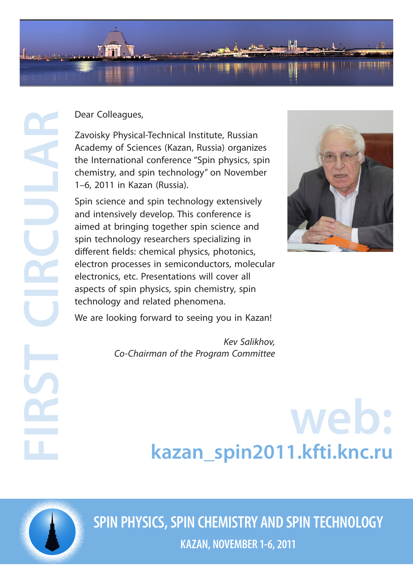

Dear Colleagues,

Zavoisky Physical-Technical Institute, Russian Academy of Sciences (Kazan, Russia) organizes the International conference "Spin physics, spin chemistry, and spin technology" on November 1–6, 2011 in Kazan (Russia).

Spin science and spin technology extensively and intensively develop. This conference is aimed at bringing together spin science and spin technology researchers specializing in different fields: chemical physics, photonics, electron processes in semiconductors, molecular electronics, etc. Presentations will cover all aspects of spin physics, spin chemistry, spin technology and related phenomena.



We are looking forward to seeing you in Kazan!

*Kev Salikhov, Co-Chairman of the Program Committee*

# **web: [kazan\\_spin2011.kfti.knc.ru](http://kazan_spin2011.kfti.knc.ru)**

**FIRST CIRCULAR**

**SPIN PHYSICS, SPIN CHEMISTRY AND SPIN TECHNOLOGY**

**KAZAN, NOVEMBER 1-6, 2011**